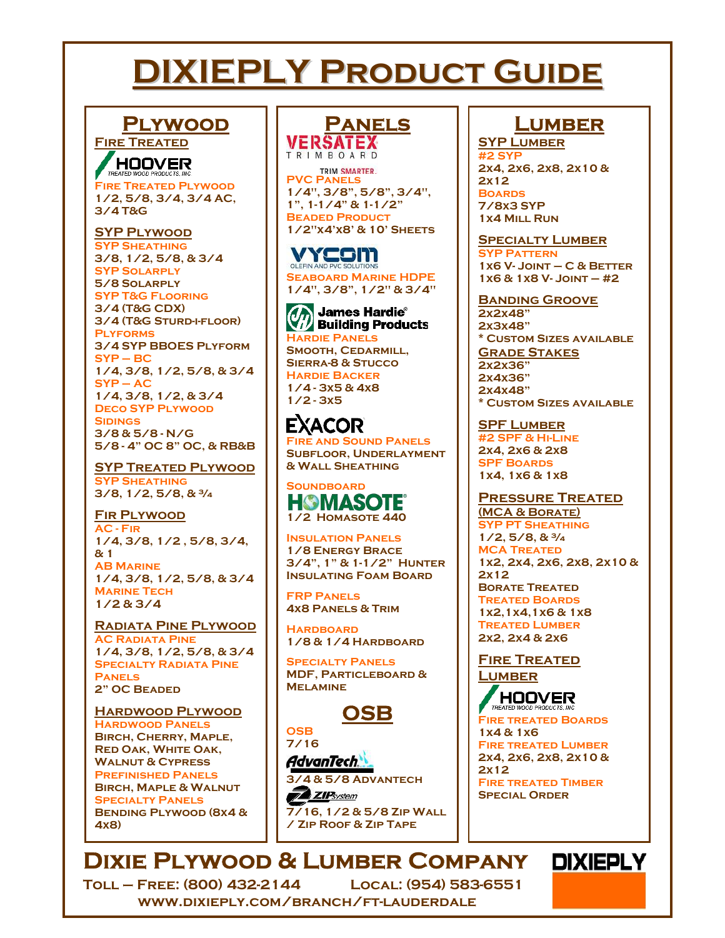# DIXIEPLY PRODUCT GUIDE

### Plywood

Fire Treated **HOOVER** 

Fire Treated Plywood 1/2, 5/8, 3/4, 3/4 AC, 3/4 T&G

SYP Plywood **SYP SHEATHING** 3/8, 1/2, 5/8, & 3/4 SYP Solarply 5/8 Solarply SYP T&G Flooring 3/4 (T&G CDX) 3/4 (T&G Sturd-i-floor) **PLYFORMS** 3/4 SYP BBOES Plyform  $SYP - BC$ 1/4, 3/8, 1/2, 5/8, & 3/4 SYP – AC 1/4, 3/8, 1/2, & 3/4 Deco SYP Plywood **SIDINGS** 3/8 & 5/8 - N/G 5/8 - 4" OC 8" OC, & RB&B

SYP Treated Plywood **SYP SHEATHING**  $3/8$ ,  $1/2$ ,  $5/8$ ,  $8^{3}/4$ 

Fir Plywood AC - Fir 1/4, 3/8, 1/2 , 5/8, 3/4, & 1 AB Marine 1/4, 3/8, 1/2, 5/8, & 3/4 **MARINE TECH** 1/2 & 3/4

Radiata Pine Plywood **AC RADIATA PINE** 1/4, 3/8, 1/2, 5/8, & 3/4 **SPECIALTY RADIATA PINE PANELS** 2" OC Beaded

Hardwood Plywood Hardwood Panels Birch, Cherry, Maple, Red Oak, White Oak, Walnut & Cypress Prefinished Panels Birch, Maple & Walnut **SPECIALTY PANELS** Bending Plywood (8x4 & 4x8)

## **PANELS**<br>VERSATEX

TRIMBOARD

TRIM SMARTER.<br>PVC PANELS 1/4", 3/8", 5/8", 3/4", 1", 1-1/4" & 1-1/2" **BEADED PRODUCT** 1/2"x4'x8' & 10' Sheets

### VYCOM

Seaboard Marine HDPE 1/4", 3/8", 1/2" & 3/4"

James Hardie®<br>Building Products Hardie Panels Smooth, Cedarmill, Sierra-8 & Stucco Hardie Backer

1/4 - 3x5 & 4x8 1/2 - 3x5

#### **EXACOR** RE AND SOUND PANELS Subfloor, Underlayment & Wall Sheathing

SOUNDBOARD<br>**HOMASOTE** 1/2 Homasote 440

Insulation Panels 1/8 Energy Brace 3/4", 1" & 1-1/2" Hunter Insulating Foam Board

**FRP PANELS** 4x8 Panels & Trim

**HARDBOARD** 1/8 & 1/4 Hardboard

Specialty Panels MDF, Particleboard & **MELAMINE** 



OSB 7/16

AdvanTech 3/4 & 5/8 Advantech **ZIP**system

7/16, 1/2 & 5/8 Zip Wall / Zip Roof & Zip Tape

### **LUMBER**

**SYP LUMBER** #2 SYP 2x4, 2x6, 2x8, 2x10 & 2x12 **BOARDS** 7/8x3 SYP **1x4 MILL RUN** 

Specialty Lumber **SYP PATTERN**  $1x6$  V- Joint – C & Better 1x6 & 1x8 V- Joint – #2

Banding Groove 2x2x48" 2x3x48" \* Custom Sizes available Grade Stakes 2x2x36" 2x4x36" 2x4x48" \* Custom Sizes available

**SPF LUMBER** #2 SPF & Hi-Line 2x4, 2x6 & 2x8 **SPF BOARDS** 1x4, 1x6 & 1x8

Pressure Treated (MCA & Borate) SYP PT Sheathing  $1/2$ ,  $5/8$ ,  $8\frac{3}{4}$ **MCA TREATED** 1x2, 2x4, 2x6, 2x8, 2x10 & 2x12 Borate Treated Treated Boards 1x2,1x4,1x6 & 1x8 Treated Lumber 2x2, 2x4 & 2x6

Fire Treated **LUMBER** 

**HOOVER** TREATED WOOD PRODUCTS, IN

Fire treated Boards 1x4 & 1x6 Fire treated Lumber 2x4, 2x6, 2x8, 2x10 & 2x12 Fire treated Timber Special Order

Dixie Plywood & Lumber Company

Toll – Free: (800) 432-2144 Local: (954) 583-6551 www.dixieply.com/branch/ft-lauderdale